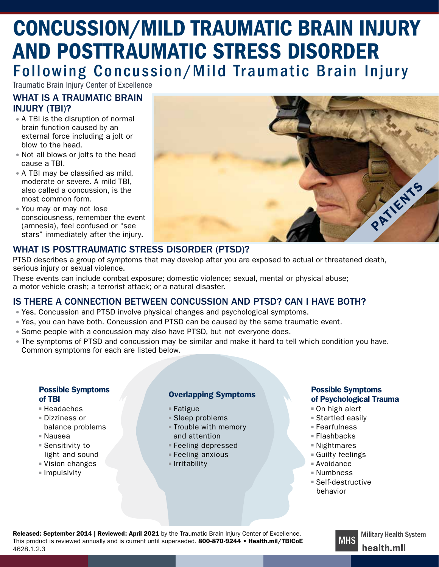# CONCUSSION/MILD TRAUMATIC BRAIN INJURY AND POSTTRAUMATIC STRESS DISORDER Following Concussion/Mild Traumatic Brain Injury

Traumatic Brain Injury Center of Excellence

# WHAT IS A TRAUMATIC BRAIN INJURY (TBI)?

- A TBI is the disruption of normal brain function caused by an external force including a jolt or blow to the head.
- Not all blows or jolts to the head cause a TBI.
- A TBI may be classified as mild, moderate or severe. A mild TBI, also called a concussion, is the most common form.
- You may or may not lose consciousness, remember the event (amnesia), feel confused or "see stars" immediately after the injury.



# WHAT IS POSTTRAUMATIC STRESS DISORDER (PTSD)?

PTSD describes a group of symptoms that may develop after you are exposed to actual or threatened death, serious injury or sexual violence.

These events can include combat exposure; domestic violence; sexual, mental or physical abuse; a motor vehicle crash; a terrorist attack; or a natural disaster.

## IS THERE A CONNECTION BETWEEN CONCUSSION AND PTSD? CAN I HAVE BOTH?

- Yes. Concussion and PTSD involve physical changes and psychological symptoms.
- Yes, you can have both. Concussion and PTSD can be caused by the same traumatic event.
- Some people with a concussion may also have PTSD, but not everyone does.
- The symptoms of PTSD and concussion may be similar and make it hard to tell which condition you have.<br>Common symptoms for each are listed below.

#### Possible Symptoms of TBI **Overlapping Symptoms**

- Headaches
- Dizziness or
- balance problems
- Nausea
- Sensitivity to light and sound
- Vision changes
- Impulsivity

- Fatigue
- Sleep problems
- Trouble with memory and attention
- Feeling depressed
- Feeling anxious
- Irritability

#### Possible Symptoms of Psychological Trauma

- On high alert
- Startled easily
- Fearfulness
- Flashbacks
- Nightmares
- Guilty feelings
- Avoidance
- Numbness
- Self-destructive behavior

Released: September 2014 | Reviewed: April 2021 by the Traumatic Brain Injury Center of Excellence. This product is reviewed annually and is current until superseded. 800-870-9244 • [Health.mil/TBICoE](https://health.mil/tbicoe) 4628.1.2.3